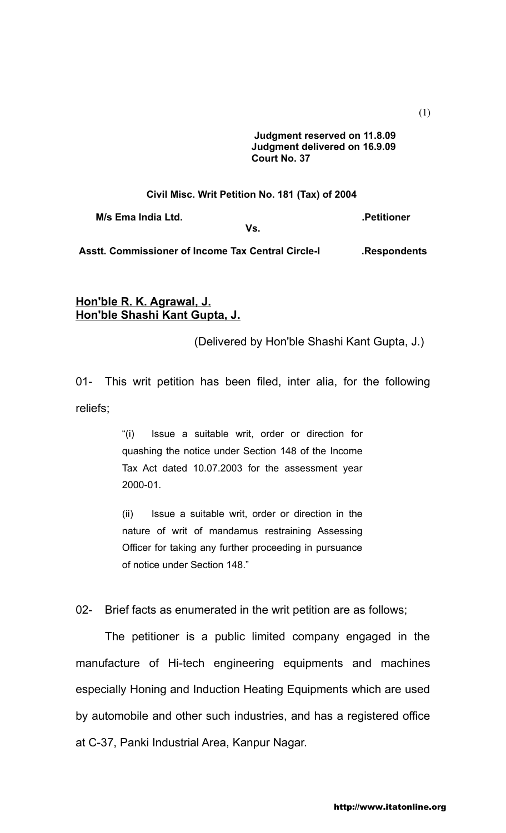**Judgment reserved on 11.8.09 Judgment delivered on 16.9.09 Court No. 37** 

## **Civil Misc. Writ Petition No. 181 (Tax) of 2004**

**M/s Ema India Ltd. Contract Contract Contract Contract Contract Contract Contract Contract Contract Contract Contract Contract Contract Contract Contract Contract Contract Contract Contract Contract Contract Contract C** 

**Vs.**

**Asstt. Commissioner of Income Tax Central Circle-I .Respondents**

## **Hon'ble R. K. Agrawal, J. Hon'ble Shashi Kant Gupta, J.**

(Delivered by Hon'ble Shashi Kant Gupta, J.)

01- This writ petition has been filed, inter alia, for the following reliefs;

> "(i) Issue a suitable writ, order or direction for quashing the notice under Section 148 of the Income Tax Act dated 10.07.2003 for the assessment year 2000-01.

> (ii) Issue a suitable writ, order or direction in the nature of writ of mandamus restraining Assessing Officer for taking any further proceeding in pursuance of notice under Section 148."

02- Brief facts as enumerated in the writ petition are as follows;

The petitioner is a public limited company engaged in the manufacture of Hi-tech engineering equipments and machines especially Honing and Induction Heating Equipments which are used by automobile and other such industries, and has a registered office at C-37, Panki Industrial Area, Kanpur Nagar.

(1)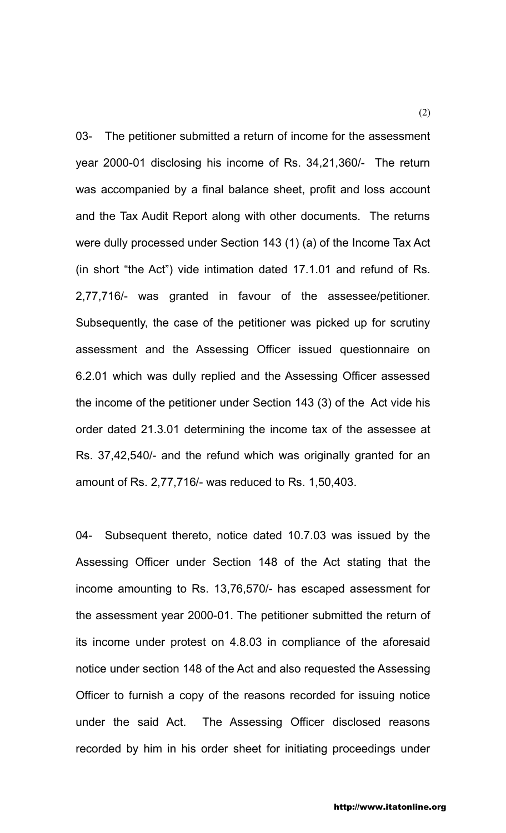03- The petitioner submitted a return of income for the assessment year 2000-01 disclosing his income of Rs. 34,21,360/- The return was accompanied by a final balance sheet, profit and loss account and the Tax Audit Report along with other documents. The returns were dully processed under Section 143 (1) (a) of the Income Tax Act (in short "the Act") vide intimation dated 17.1.01 and refund of Rs. 2,77,716/- was granted in favour of the assessee/petitioner. Subsequently, the case of the petitioner was picked up for scrutiny assessment and the Assessing Officer issued questionnaire on 6.2.01 which was dully replied and the Assessing Officer assessed the income of the petitioner under Section 143 (3) of the Act vide his order dated 21.3.01 determining the income tax of the assessee at Rs. 37,42,540/- and the refund which was originally granted for an amount of Rs. 2,77,716/- was reduced to Rs. 1,50,403.

04- Subsequent thereto, notice dated 10.7.03 was issued by the Assessing Officer under Section 148 of the Act stating that the income amounting to Rs. 13,76,570/- has escaped assessment for the assessment year 2000-01. The petitioner submitted the return of its income under protest on 4.8.03 in compliance of the aforesaid notice under section 148 of the Act and also requested the Assessing Officer to furnish a copy of the reasons recorded for issuing notice under the said Act. The Assessing Officer disclosed reasons recorded by him in his order sheet for initiating proceedings under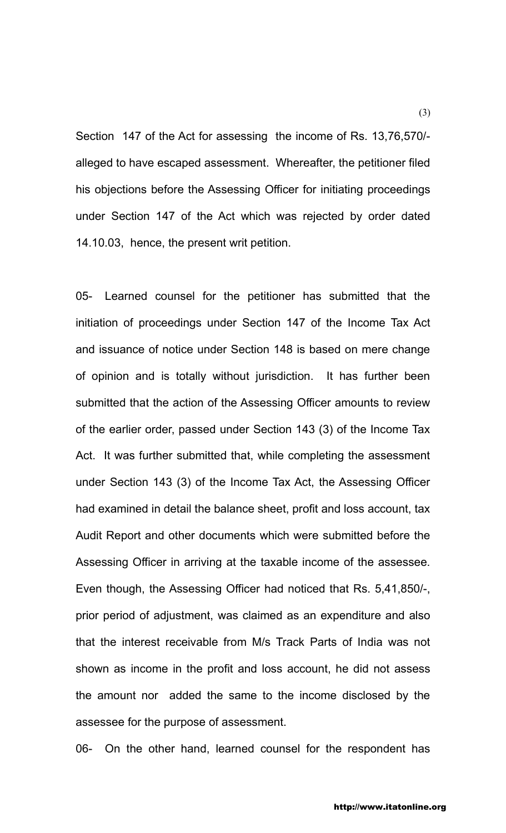Section 147 of the Act for assessing the income of Rs. 13,76,570/ alleged to have escaped assessment. Whereafter, the petitioner filed his objections before the Assessing Officer for initiating proceedings under Section 147 of the Act which was rejected by order dated 14.10.03, hence, the present writ petition.

05- Learned counsel for the petitioner has submitted that the initiation of proceedings under Section 147 of the Income Tax Act and issuance of notice under Section 148 is based on mere change of opinion and is totally without jurisdiction. It has further been submitted that the action of the Assessing Officer amounts to review of the earlier order, passed under Section 143 (3) of the Income Tax Act. It was further submitted that, while completing the assessment under Section 143 (3) of the Income Tax Act, the Assessing Officer had examined in detail the balance sheet, profit and loss account, tax Audit Report and other documents which were submitted before the Assessing Officer in arriving at the taxable income of the assessee. Even though, the Assessing Officer had noticed that Rs. 5,41,850/-, prior period of adjustment, was claimed as an expenditure and also that the interest receivable from M/s Track Parts of India was not shown as income in the profit and loss account, he did not assess the amount nor added the same to the income disclosed by the assessee for the purpose of assessment.

06- On the other hand, learned counsel for the respondent has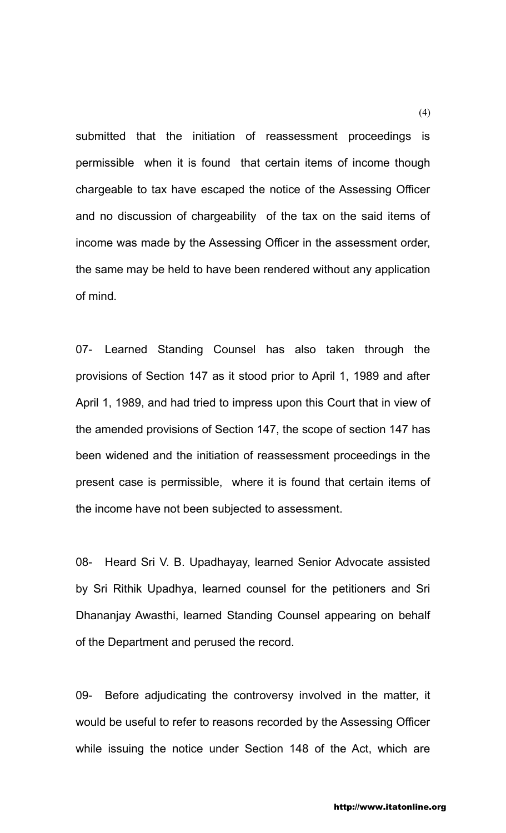submitted that the initiation of reassessment proceedings is permissible when it is found that certain items of income though chargeable to tax have escaped the notice of the Assessing Officer and no discussion of chargeability of the tax on the said items of income was made by the Assessing Officer in the assessment order, the same may be held to have been rendered without any application of mind.

07- Learned Standing Counsel has also taken through the provisions of Section 147 as it stood prior to April 1, 1989 and after April 1, 1989, and had tried to impress upon this Court that in view of the amended provisions of Section 147, the scope of section 147 has been widened and the initiation of reassessment proceedings in the present case is permissible, where it is found that certain items of the income have not been subjected to assessment.

08- Heard Sri V. B. Upadhayay, learned Senior Advocate assisted by Sri Rithik Upadhya, learned counsel for the petitioners and Sri Dhananjay Awasthi, learned Standing Counsel appearing on behalf of the Department and perused the record.

09- Before adjudicating the controversy involved in the matter, it would be useful to refer to reasons recorded by the Assessing Officer while issuing the notice under Section 148 of the Act, which are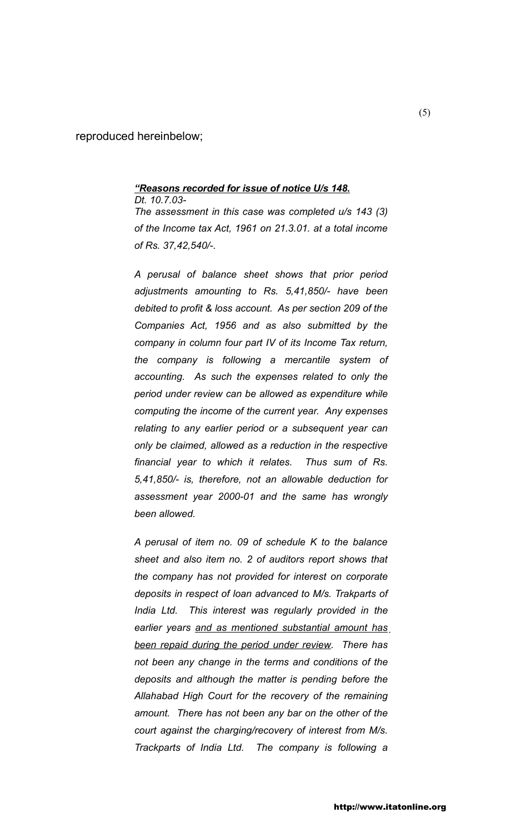reproduced hereinbelow;

## *"Reasons recorded for issue of notice U/s 148. Dt. 10.7.03-*

*The assessment in this case was completed u/s 143 (3) of the Income tax Act, 1961 on 21.3.01. at a total income of Rs. 37,42,540/-.*

*A perusal of balance sheet shows that prior period adjustments amounting to Rs. 5,41,850/- have been debited to profit & loss account. As per section 209 of the Companies Act, 1956 and as also submitted by the company in column four part IV of its Income Tax return, the company is following a mercantile system of accounting. As such the expenses related to only the period under review can be allowed as expenditure while computing the income of the current year. Any expenses relating to any earlier period or a subsequent year can only be claimed, allowed as a reduction in the respective financial year to which it relates. Thus sum of Rs. 5,41,850/- is, therefore, not an allowable deduction for assessment year 2000-01 and the same has wrongly been allowed.*

*A perusal of item no. 09 of schedule K to the balance sheet and also item no. 2 of auditors report shows that the company has not provided for interest on corporate deposits in respect of loan advanced to M/s. Trakparts of India Ltd. This interest was regularly provided in the earlier years and as mentioned substantial amount has been repaid during the period under review. There has not been any change in the terms and conditions of the deposits and although the matter is pending before the Allahabad High Court for the recovery of the remaining amount. There has not been any bar on the other of the court against the charging/recovery of interest from M/s. Trackparts of India Ltd. The company is following a*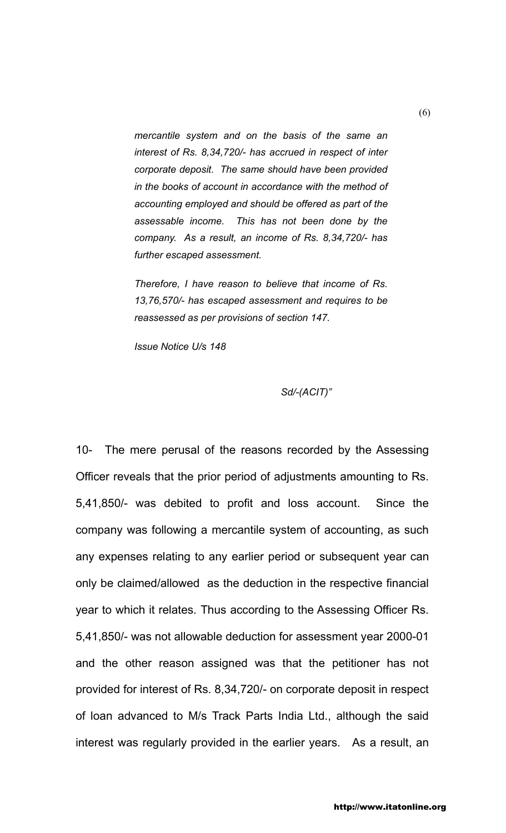*mercantile system and on the basis of the same an interest of Rs. 8,34,720/- has accrued in respect of inter corporate deposit. The same should have been provided in the books of account in accordance with the method of accounting employed and should be offered as part of the assessable income. This has not been done by the company. As a result, an income of Rs. 8,34,720/- has further escaped assessment.*

*Therefore, I have reason to believe that income of Rs. 13,76,570/- has escaped assessment and requires to be reassessed as per provisions of section 147.*

*Issue Notice U/s 148*

## *Sd/-(ACIT)"*

10- The mere perusal of the reasons recorded by the Assessing Officer reveals that the prior period of adjustments amounting to Rs. 5,41,850/- was debited to profit and loss account. Since the company was following a mercantile system of accounting, as such any expenses relating to any earlier period or subsequent year can only be claimed/allowed as the deduction in the respective financial year to which it relates. Thus according to the Assessing Officer Rs. 5,41,850/- was not allowable deduction for assessment year 2000-01 and the other reason assigned was that the petitioner has not provided for interest of Rs. 8,34,720/- on corporate deposit in respect of loan advanced to M/s Track Parts India Ltd., although the said interest was regularly provided in the earlier years. As a result, an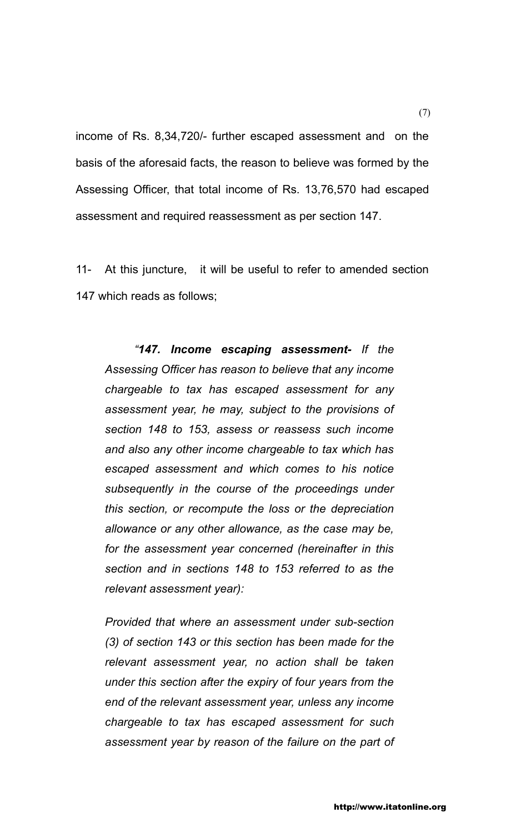income of Rs. 8,34,720/- further escaped assessment and on the basis of the aforesaid facts, the reason to believe was formed by the Assessing Officer, that total income of Rs. 13,76,570 had escaped assessment and required reassessment as per section 147.

11- At this juncture, it will be useful to refer to amended section 147 which reads as follows;

*"147. Income escaping assessment- If the Assessing Officer has reason to believe that any income chargeable to tax has escaped assessment for any assessment year, he may, subject to the provisions of section 148 to 153, assess or reassess such income and also any other income chargeable to tax which has escaped assessment and which comes to his notice subsequently in the course of the proceedings under this section, or recompute the loss or the depreciation allowance or any other allowance, as the case may be, for the assessment year concerned (hereinafter in this section and in sections 148 to 153 referred to as the relevant assessment year):*

*Provided that where an assessment under sub-section (3) of section 143 or this section has been made for the relevant assessment year, no action shall be taken under this section after the expiry of four years from the end of the relevant assessment year, unless any income chargeable to tax has escaped assessment for such assessment year by reason of the failure on the part of*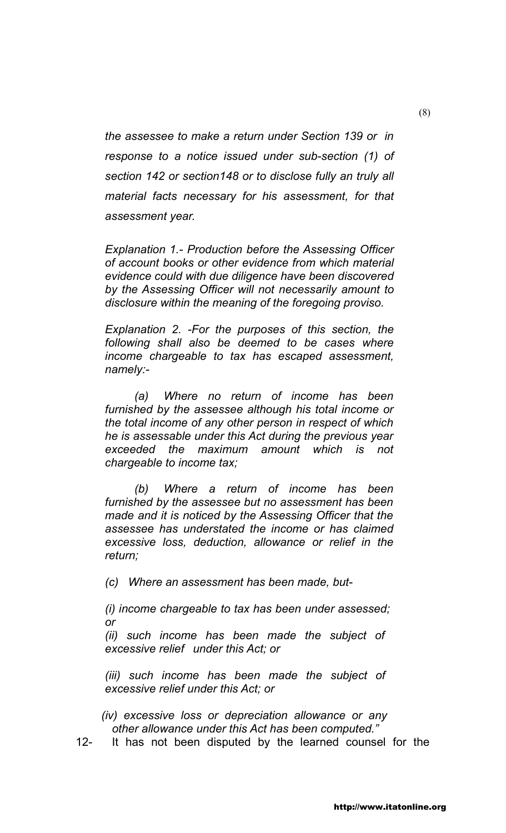*the assessee to make a return under Section 139 or in response to a notice issued under sub-section (1) of section 142 or section148 or to disclose fully an truly all material facts necessary for his assessment, for that assessment year.*

*Explanation 1.- Production before the Assessing Officer of account books or other evidence from which material evidence could with due diligence have been discovered by the Assessing Officer will not necessarily amount to disclosure within the meaning of the foregoing proviso.*

*Explanation 2. -For the purposes of this section, the following shall also be deemed to be cases where income chargeable to tax has escaped assessment, namely:-*

*(a) Where no return of income has been furnished by the assessee although his total income or the total income of any other person in respect of which he is assessable under this Act during the previous year exceeded the maximum amount which is not chargeable to income tax;*

*(b) Where a return of income has been furnished by the assessee but no assessment has been made and it is noticed by the Assessing Officer that the assessee has understated the income or has claimed excessive loss, deduction, allowance or relief in the return;*

*(c) Where an assessment has been made, but-*

*(i) income chargeable to tax has been under assessed; or*

*(ii) such income has been made the subject of excessive relief under this Act; or*

*(iii) such income has been made the subject of excessive relief under this Act; or*

 *(iv) excessive loss or depreciation allowance or any other allowance under this Act has been computed."*

12- It has not been disputed by the learned counsel for the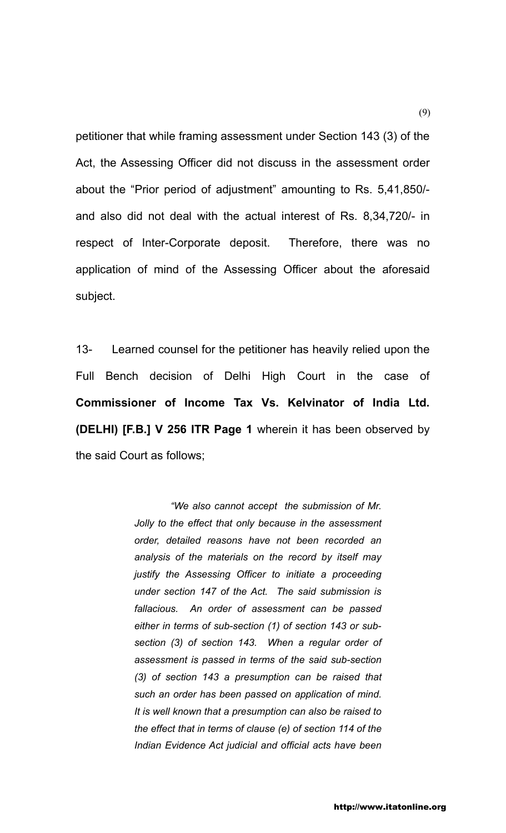petitioner that while framing assessment under Section 143 (3) of the Act, the Assessing Officer did not discuss in the assessment order about the "Prior period of adjustment" amounting to Rs. 5,41,850/ and also did not deal with the actual interest of Rs. 8,34,720/- in respect of Inter-Corporate deposit. Therefore, there was no application of mind of the Assessing Officer about the aforesaid subject.

13- Learned counsel for the petitioner has heavily relied upon the Full Bench decision of Delhi High Court in the case of **Commissioner of Income Tax Vs. Kelvinator of India Ltd. (DELHI) [F.B.] V 256 ITR Page 1** wherein it has been observed by the said Court as follows;

> *"We also cannot accept the submission of Mr. Jolly to the effect that only because in the assessment order, detailed reasons have not been recorded an analysis of the materials on the record by itself may justify the Assessing Officer to initiate a proceeding under section 147 of the Act. The said submission is fallacious. An order of assessment can be passed either in terms of sub-section (1) of section 143 or subsection (3) of section 143. When a regular order of assessment is passed in terms of the said sub-section (3) of section 143 a presumption can be raised that such an order has been passed on application of mind. It is well known that a presumption can also be raised to the effect that in terms of clause (e) of section 114 of the Indian Evidence Act judicial and official acts have been*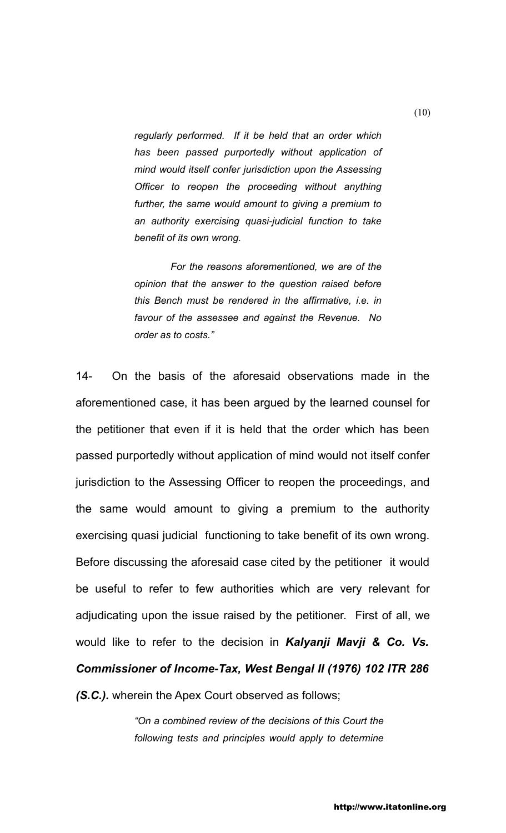*regularly performed. If it be held that an order which has been passed purportedly without application of mind would itself confer jurisdiction upon the Assessing Officer to reopen the proceeding without anything further, the same would amount to giving a premium to an authority exercising quasi-judicial function to take benefit of its own wrong.*

*For the reasons aforementioned, we are of the opinion that the answer to the question raised before this Bench must be rendered in the affirmative, i.e. in favour of the assessee and against the Revenue. No order as to costs."*

14- On the basis of the aforesaid observations made in the aforementioned case, it has been argued by the learned counsel for the petitioner that even if it is held that the order which has been passed purportedly without application of mind would not itself confer jurisdiction to the Assessing Officer to reopen the proceedings, and the same would amount to giving a premium to the authority exercising quasi judicial functioning to take benefit of its own wrong. Before discussing the aforesaid case cited by the petitioner it would be useful to refer to few authorities which are very relevant for adjudicating upon the issue raised by the petitioner. First of all, we would like to refer to the decision in *Kalyanji Mavji & Co. Vs. Commissioner of Income-Tax, West Bengal II (1976) 102 ITR 286 (S.C.).* wherein the Apex Court observed as follows;

> *"On a combined review of the decisions of this Court the following tests and principles would apply to determine*

(10)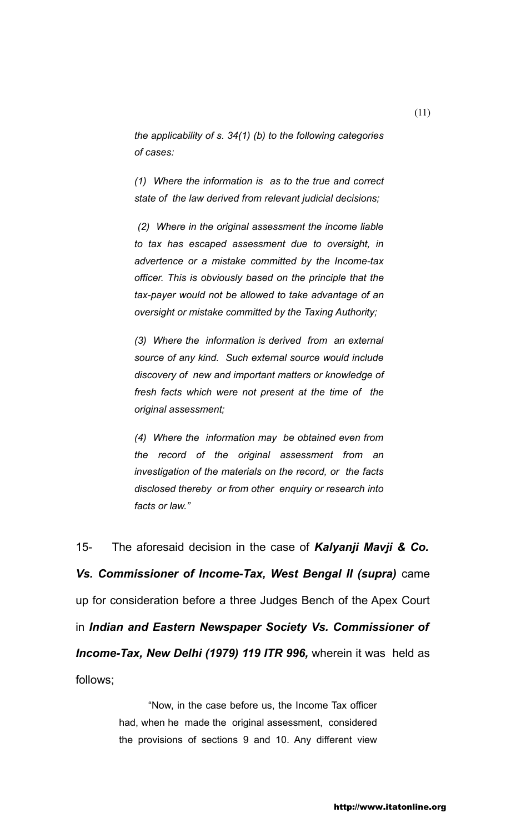*the applicability of s. 34(1) (b) to the following categories of cases:*

*(1) Where the information is as to the true and correct state of the law derived from relevant judicial decisions;*

 *(2) Where in the original assessment the income liable to tax has escaped assessment due to oversight, in advertence or a mistake committed by the Income-tax officer. This is obviously based on the principle that the tax-payer would not be allowed to take advantage of an oversight or mistake committed by the Taxing Authority;*

*(3) Where the information is derived from an external source of any kind. Such external source would include discovery of new and important matters or knowledge of fresh facts which were not present at the time of the original assessment;*

*(4) Where the information may be obtained even from the record of the original assessment from an investigation of the materials on the record, or the facts disclosed thereby or from other enquiry or research into facts or law."*

15- The aforesaid decision in the case of *Kalyanji Mavji & Co. Vs. Commissioner of Income-Tax, West Bengal II (supra)* came up for consideration before a three Judges Bench of the Apex Court in *Indian and Eastern Newspaper Society Vs. Commissioner of Income-Tax, New Delhi (1979) 119 ITR 996,* wherein it washeld as follows;

> "Now, in the case before us, the Income Tax officer had, when he made the original assessment, considered the provisions of sections 9 and 10. Any different view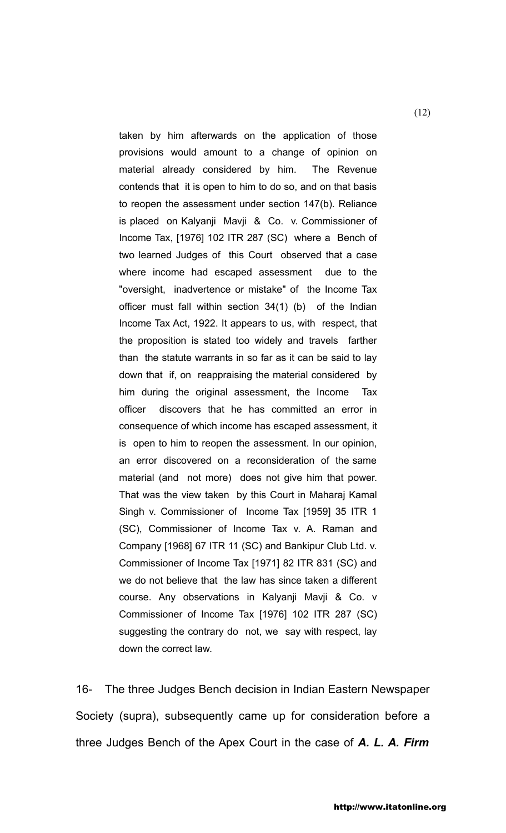taken by him afterwards on the application of those provisions would amount to a change of opinion on material already considered by him. The Revenue contends that it is open to him to do so, and on that basis to reopen the assessment under section 147(b). Reliance is placed on Kalyanji Mavji & Co. v. Commissioner of Income Tax, [1976] 102 ITR 287 (SC) where a Bench of two learned Judges of this Court observed that a case where income had escaped assessment due to the "oversight, inadvertence or mistake" of the Income Tax officer must fall within section 34(1) (b) of the Indian Income Tax Act, 1922. It appears to us, with respect, that the proposition is stated too widely and travels farther than the statute warrants in so far as it can be said to lay down that if, on reappraising the material considered by him during the original assessment, the Income Tax officer discovers that he has committed an error in consequence of which income has escaped assessment, it is open to him to reopen the assessment. In our opinion, an error discovered on a reconsideration of the same material (and not more) does not give him that power. That was the view taken by this Court in Maharaj Kamal Singh v. Commissioner of Income Tax [1959] 35 ITR 1 (SC), Commissioner of Income Tax v. A. Raman and Company [1968] 67 ITR 11 (SC) and Bankipur Club Ltd. v. Commissioner of Income Tax [1971] 82 ITR 831 (SC) and we do not believe that the law has since taken a different course. Any observations in Kalyanji Mavji & Co. v Commissioner of Income Tax [1976] 102 ITR 287 (SC) suggesting the contrary do not, we say with respect, lay down the correct law.

16- The three Judges Bench decision in Indian Eastern Newspaper Society (supra), subsequently came up for consideration before a three Judges Bench of the Apex Court in the case of *A. L. A. Firm*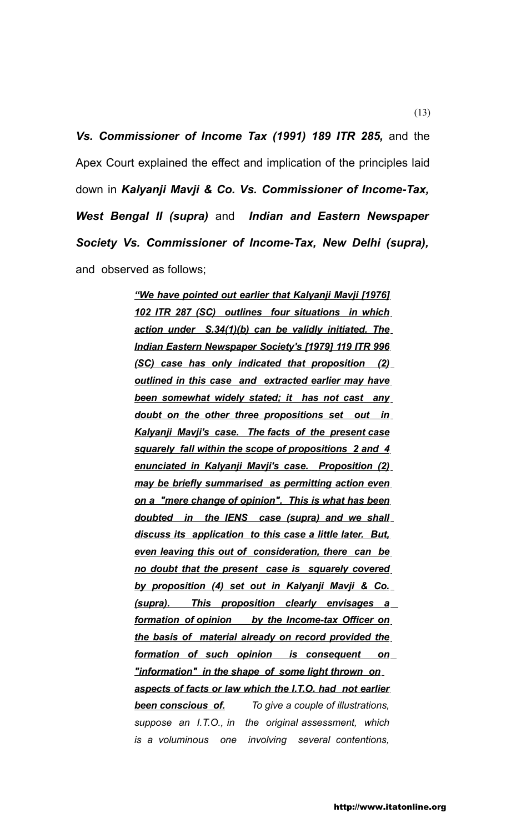*Vs. Commissioner of Income Tax (1991) 189 ITR 285,* and the Apex Court explained the effect and implication of the principles laid down in *Kalyanji Mavji & Co. Vs. Commissioner of Income-Tax, West Bengal II (supra)* and *Indian and Eastern Newspaper Society Vs. Commissioner of Income-Tax, New Delhi (supra),*  and observed as follows;

> *"We have pointed out earlier that Kalyanji Mavji [1976] 102 ITR 287 (SC) outlines four situations in which action under S.34(1)(b) can be validly initiated. The Indian Eastern Newspaper Society's [1979] 119 ITR 996 (SC) case has only indicated that proposition (2) outlined in this case and extracted earlier may have been somewhat widely stated; it has not cast any doubt on the other three propositions set out in Kalyanji Mavji's case. The facts of the present case squarely fall within the scope of propositions 2 and 4 enunciated in Kalyanji Mavji's case. Proposition (2) may be briefly summarised as permitting action even on a "mere change of opinion". This is what has been doubted in the IENS case (supra) and we shall discuss its application to this case a little later. But, even leaving this out of consideration, there can be no doubt that the present case is squarely covered by proposition (4) set out in Kalyanji Mavji & Co. (supra). This proposition clearly envisages a formation of opinion by the Income-tax Officer on the basis of material already on record provided the formation of such opinion is consequent on "information" in the shape of some light thrown on aspects of facts or law which the I.T.O. had not earlier been conscious of. To give a couple of illustrations, suppose an I.T.O., in the original assessment, which is a voluminous one involving several contentions,*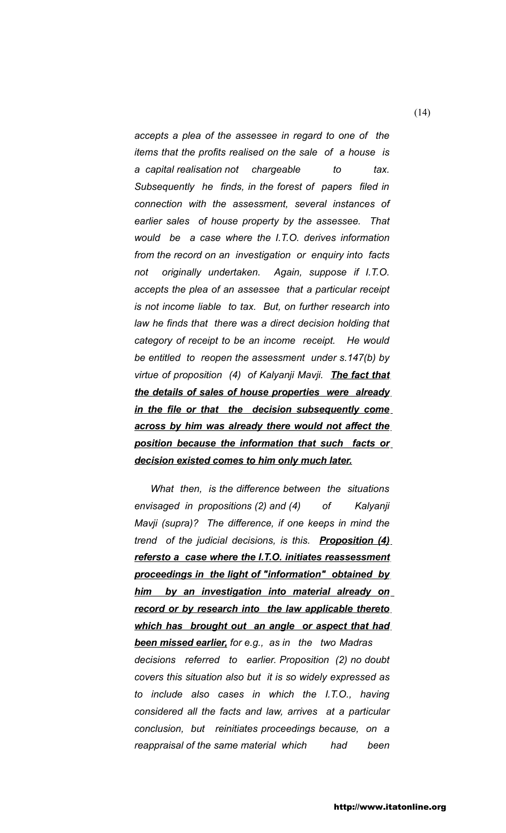*accepts a plea of the assessee in regard to one of the items that the profits realised on the sale of a house is a capital realisation not chargeable to tax. Subsequently he finds, in the forest of papers filed in connection with the assessment, several instances of earlier sales of house property by the assessee. That would be a case where the I.T.O. derives information from the record on an investigation or enquiry into facts not originally undertaken. Again, suppose if I.T.O. accepts the plea of an assessee that a particular receipt is not income liable to tax. But, on further research into law he finds that there was a direct decision holding that category of receipt to be an income receipt. He would be entitled to reopen the assessment under s.147(b) by virtue of proposition (4) of Kalyanji Mavji. The fact that the details of sales of house properties were already in the file or that the decision subsequently come across by him was already there would not affect the position because the information that such facts or decision existed comes to him only much later.*

 *What then, is the difference between the situations envisaged in propositions (2) and (4) of Kalyanji Mavji (supra)? The difference, if one keeps in mind the trend of the judicial decisions, is this. Proposition (4) refersto a case where the I.T.O. initiates reassessment proceedings in the light of "information" obtained by him by an investigation into material already on record or by research into the law applicable thereto which has brought out an angle or aspect that had been missed earlier, for e.g., as in the two Madras decisions referred to earlier. Proposition (2) no doubt covers this situation also but it is so widely expressed as to include also cases in which the I.T.O., having considered all the facts and law, arrives at a particular conclusion, but reinitiates proceedings because, on a reappraisal of the same material which had been* 

(14)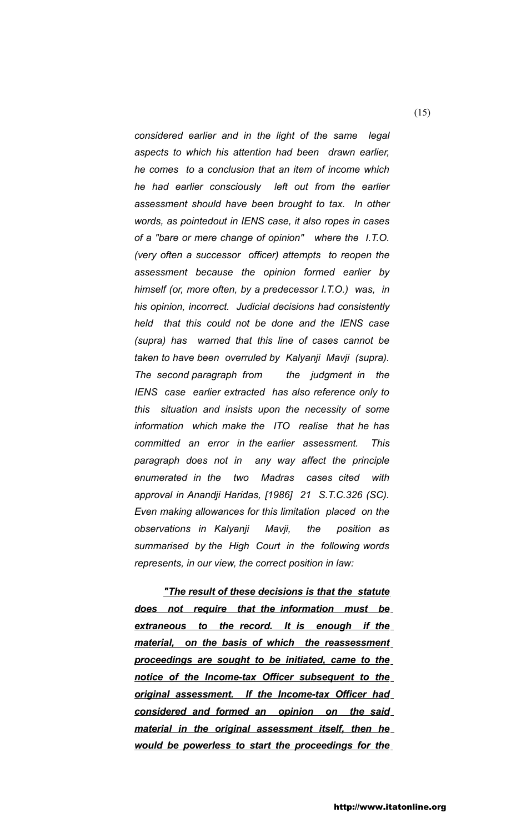*considered earlier and in the light of the same legal aspects to which his attention had been drawn earlier, he comes to a conclusion that an item of income which he had earlier consciously left out from the earlier assessment should have been brought to tax. In other words, as pointedout in IENS case, it also ropes in cases of a "bare or mere change of opinion" where the I.T.O. (very often a successor officer) attempts to reopen the assessment because the opinion formed earlier by himself (or, more often, by a predecessor I.T.O.) was, in his opinion, incorrect. Judicial decisions had consistently held that this could not be done and the IENS case (supra) has warned that this line of cases cannot be taken to have been overruled by Kalyanji Mavji (supra). The second paragraph from the judgment in the IENS case earlier extracted has also reference only to this situation and insists upon the necessity of some information which make the ITO realise that he has committed an error in the earlier assessment. This paragraph does not in any way affect the principle enumerated in the two Madras cases cited with approval in Anandji Haridas, [1986] 21 S.T.C.326 (SC). Even making allowances for this limitation placed on the observations in Kalyanji Mavji, the position as summarised by the High Court in the following words represents, in our view, the correct position in law:*

*"The result of these decisions is that the statute does not require that the information must be extraneous to the record. It is enough if the material, on the basis of which the reassessment proceedings are sought to be initiated, came to the notice of the Income-tax Officer subsequent to the original assessment. If the Income-tax Officer had considered and formed an opinion on the said material in the original assessment itself, then he would be powerless to start the proceedings for the*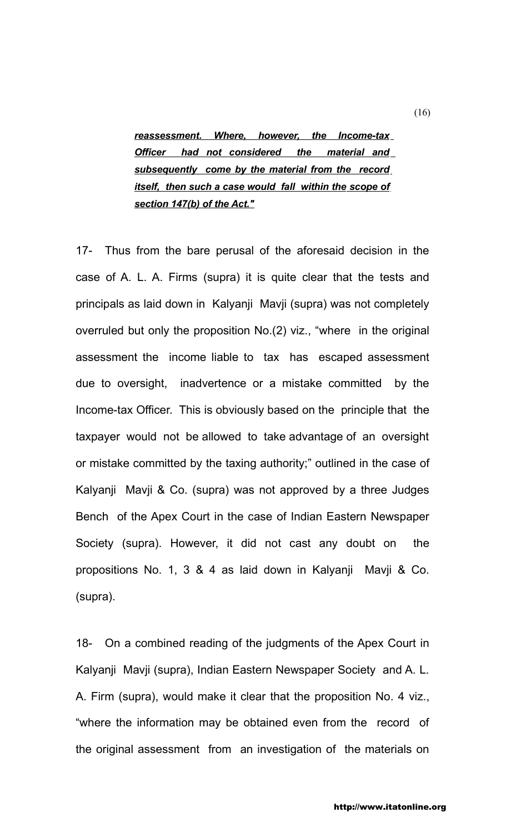*reassessment. Where, however, the Income-tax Officer had not considered the material and subsequently come by the material from the record itself, then such a case would fall within the scope of section 147(b) of the Act."*

17- Thus from the bare perusal of the aforesaid decision in the case of A. L. A. Firms (supra) it is quite clear that the tests and principals as laid down in Kalyanji Mavji (supra) was not completely overruled but only the proposition No.(2) viz., "where in the original assessment the income liable to tax has escaped assessment due to oversight, inadvertence or a mistake committed by the Income-tax Officer. This is obviously based on the principle that the taxpayer would not be allowed to take advantage of an oversight or mistake committed by the taxing authority;" outlined in the case of Kalyanji Mavji & Co. (supra) was not approved by a three Judges Bench of the Apex Court in the case of Indian Eastern Newspaper Society (supra). However, it did not cast any doubt on the propositions No. 1, 3 & 4 as laid down in Kalyanji Mavji & Co. (supra).

18- On a combined reading of the judgments of the Apex Court in Kalyanji Mavji (supra), Indian Eastern Newspaper Society and A. L. A. Firm (supra), would make it clear that the proposition No. 4 viz., "where the information may be obtained even from the record of the original assessment from an investigation of the materials on

(16)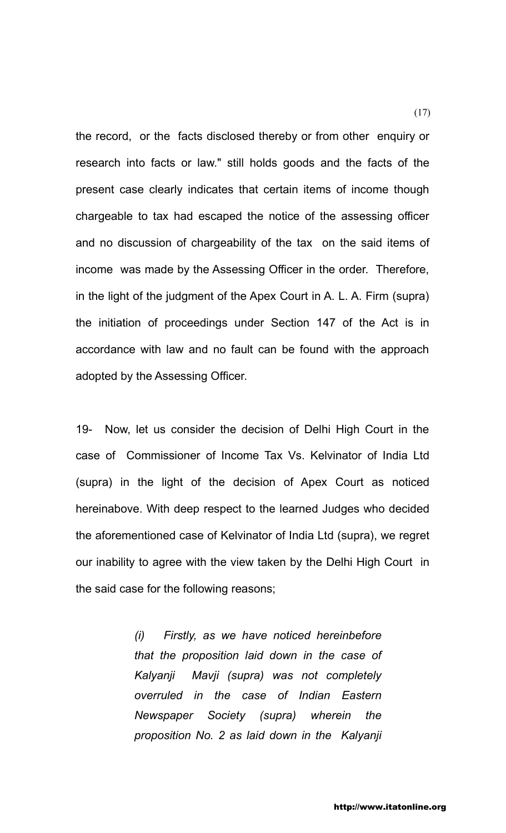the record, or the facts disclosed thereby or from other enquiry or research into facts or law." still holds goods and the facts of the present case clearly indicates that certain items of income though chargeable to tax had escaped the notice of the assessing officer and no discussion of chargeability of the tax on the said items of income was made by the Assessing Officer in the order. Therefore, in the light of the judgment of the Apex Court in A. L. A. Firm (supra) the initiation of proceedings under Section 147 of the Act is in accordance with law and no fault can be found with the approach adopted by the Assessing Officer.

19- Now, let us consider the decision of Delhi High Court in the case of Commissioner of Income Tax Vs. Kelvinator of India Ltd (supra) in the light of the decision of Apex Court as noticed hereinabove. With deep respect to the learned Judges who decided the aforementioned case of Kelvinator of India Ltd (supra), we regret our inability to agree with the view taken by the Delhi High Court in the said case for the following reasons;

> *(i) Firstly, as we have noticed hereinbefore that the proposition laid down in the case of Kalyanji Mavji (supra) was not completely overruled in the case of Indian Eastern Newspaper Society (supra) wherein the proposition No. 2 as laid down in the Kalyanji*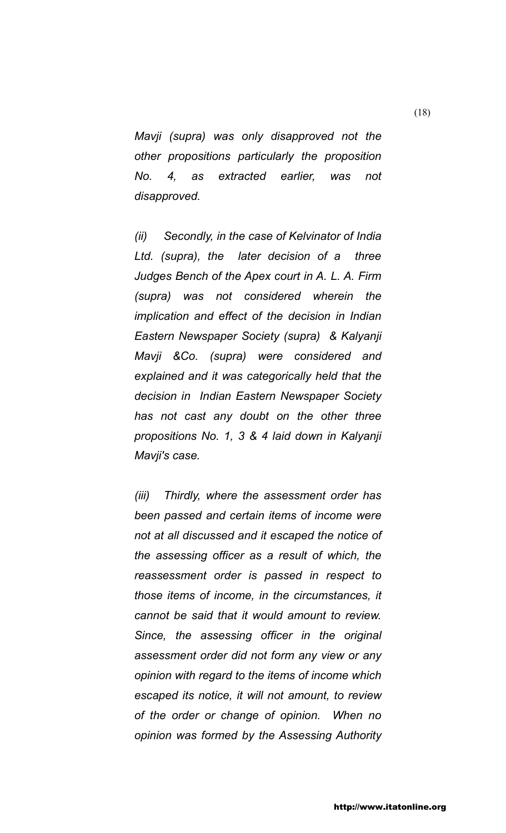*Mavji (supra) was only disapproved not the other propositions particularly the proposition No. 4, as extracted earlier, was not disapproved.* 

*(ii) Secondly, in the case of Kelvinator of India Ltd. (supra), the later decision of a three Judges Bench of the Apex court in A. L. A. Firm (supra) was not considered wherein the implication and effect of the decision in Indian Eastern Newspaper Society (supra) & Kalyanji Mavji &Co. (supra) were considered and explained and it was categorically held that the decision in Indian Eastern Newspaper Society has not cast any doubt on the other three propositions No. 1, 3 & 4 laid down in Kalyanji Mavji's case.*

*(iii) Thirdly, where the assessment order has been passed and certain items of income were not at all discussed and it escaped the notice of the assessing officer as a result of which, the reassessment order is passed in respect to those items of income, in the circumstances, it cannot be said that it would amount to review. Since, the assessing officer in the original assessment order did not form any view or any opinion with regard to the items of income which escaped its notice, it will not amount, to review of the order or change of opinion. When no opinion was formed by the Assessing Authority*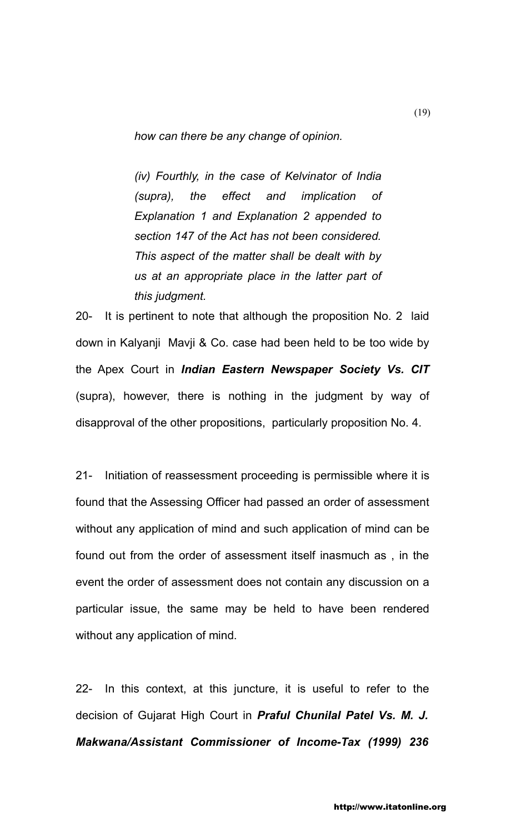*how can there be any change of opinion.* 

*(iv) Fourthly, in the case of Kelvinator of India (supra), the effect and implication of Explanation 1 and Explanation 2 appended to section 147 of the Act has not been considered. This aspect of the matter shall be dealt with by us at an appropriate place in the latter part of this judgment.*

20- It is pertinent to note that although the proposition No. 2 laid down in Kalyanji Mavji & Co. case had been held to be too wide by the Apex Court in *Indian Eastern Newspaper Society Vs. CIT*  (supra), however, there is nothing in the judgment by way of disapproval of the other propositions, particularly proposition No. 4.

21- Initiation of reassessment proceeding is permissible where it is found that the Assessing Officer had passed an order of assessment without any application of mind and such application of mind can be found out from the order of assessment itself inasmuch as , in the event the order of assessment does not contain any discussion on a particular issue, the same may be held to have been rendered without any application of mind.

22- In this context, at this juncture, it is useful to refer to the decision of Gujarat High Court in *Praful Chunilal Patel Vs. M. J. Makwana/Assistant Commissioner of Income-Tax (1999) 236*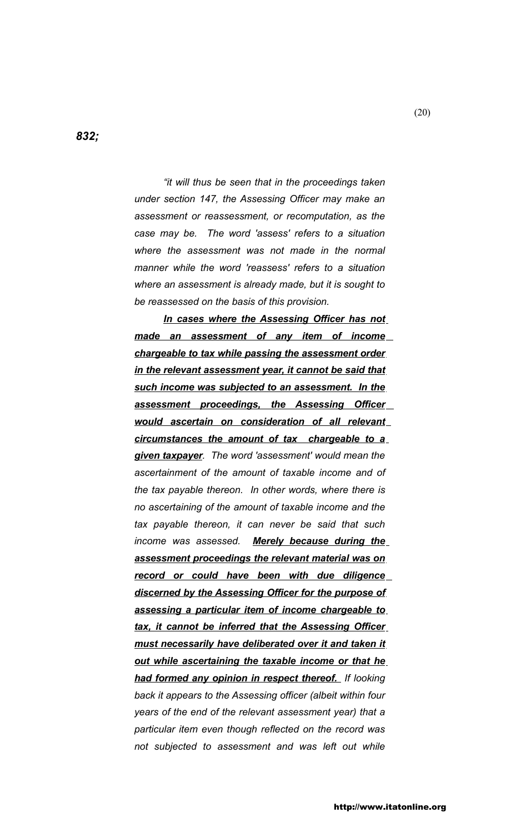*832;*

*"it will thus be seen that in the proceedings taken under section 147, the Assessing Officer may make an assessment or reassessment, or recomputation, as the case may be. The word 'assess' refers to a situation where the assessment was not made in the normal manner while the word 'reassess' refers to a situation where an assessment is already made, but it is sought to be reassessed on the basis of this provision.*

*In cases where the Assessing Officer has not made an assessment of any item of income chargeable to tax while passing the assessment order in the relevant assessment year, it cannot be said that such income was subjected to an assessment. In the assessment proceedings, the Assessing Officer would ascertain on consideration of all relevant circumstances the amount of tax chargeable to a given taxpayer. The word 'assessment' would mean the ascertainment of the amount of taxable income and of the tax payable thereon. In other words, where there is no ascertaining of the amount of taxable income and the tax payable thereon, it can never be said that such income was assessed. Merely because during the assessment proceedings the relevant material was on record or could have been with due diligence discerned by the Assessing Officer for the purpose of assessing a particular item of income chargeable to tax, it cannot be inferred that the Assessing Officer must necessarily have deliberated over it and taken it out while ascertaining the taxable income or that he had formed any opinion in respect thereof. If looking back it appears to the Assessing officer (albeit within four years of the end of the relevant assessment year) that a particular item even though reflected on the record was not subjected to assessment and was left out while* 

(20)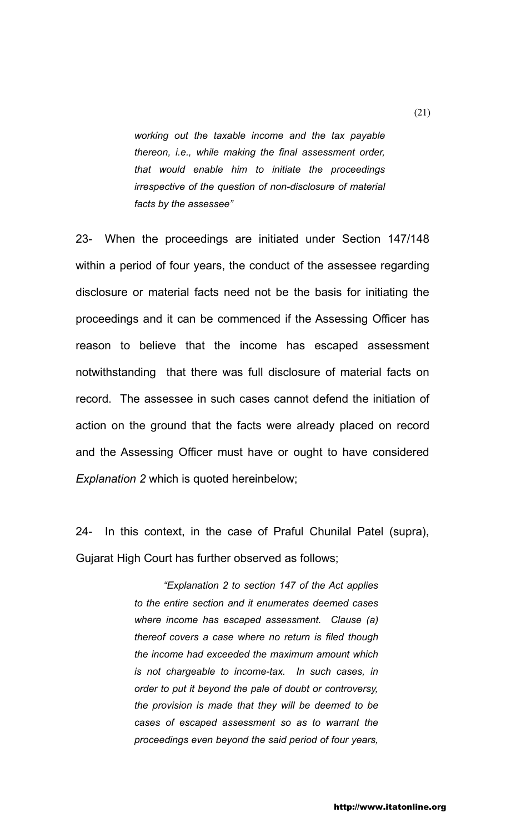*working out the taxable income and the tax payable thereon, i.e., while making the final assessment order, that would enable him to initiate the proceedings irrespective of the question of non-disclosure of material facts by the assessee"*

23- When the proceedings are initiated under Section 147/148 within a period of four years, the conduct of the assessee regarding disclosure or material facts need not be the basis for initiating the proceedings and it can be commenced if the Assessing Officer has reason to believe that the income has escaped assessment notwithstanding that there was full disclosure of material facts on record. The assessee in such cases cannot defend the initiation of action on the ground that the facts were already placed on record and the Assessing Officer must have or ought to have considered *Explanation 2* which is quoted hereinbelow;

24- In this context, in the case of Praful Chunilal Patel (supra), Gujarat High Court has further observed as follows;

> *"Explanation 2 to section 147 of the Act applies to the entire section and it enumerates deemed cases where income has escaped assessment. Clause (a) thereof covers a case where no return is filed though the income had exceeded the maximum amount which is not chargeable to income-tax. In such cases, in order to put it beyond the pale of doubt or controversy, the provision is made that they will be deemed to be cases of escaped assessment so as to warrant the proceedings even beyond the said period of four years,*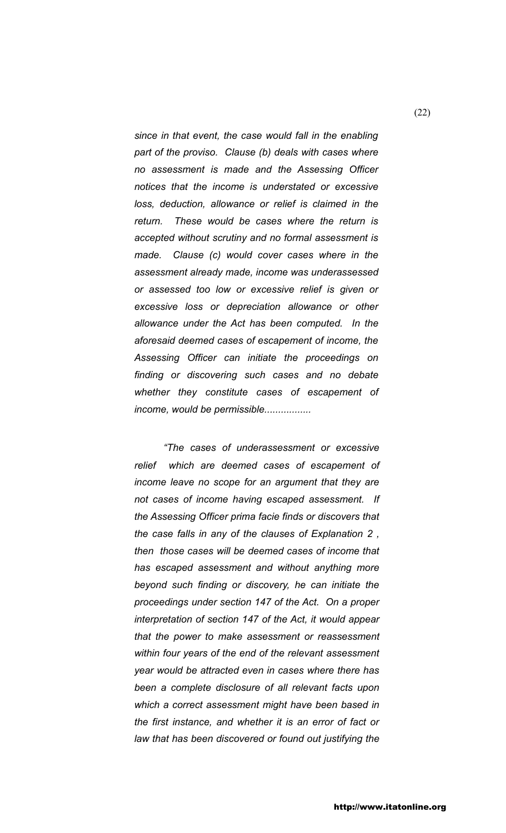*since in that event, the case would fall in the enabling part of the proviso. Clause (b) deals with cases where no assessment is made and the Assessing Officer notices that the income is understated or excessive loss, deduction, allowance or relief is claimed in the return. These would be cases where the return is accepted without scrutiny and no formal assessment is made. Clause (c) would cover cases where in the assessment already made, income was underassessed or assessed too low or excessive relief is given or excessive loss or depreciation allowance or other allowance under the Act has been computed. In the aforesaid deemed cases of escapement of income, the Assessing Officer can initiate the proceedings on finding or discovering such cases and no debate whether they constitute cases of escapement of income, would be permissible.................*

*"The cases of underassessment or excessive relief which are deemed cases of escapement of income leave no scope for an argument that they are not cases of income having escaped assessment. If the Assessing Officer prima facie finds or discovers that the case falls in any of the clauses of Explanation 2 , then those cases will be deemed cases of income that has escaped assessment and without anything more beyond such finding or discovery, he can initiate the proceedings under section 147 of the Act. On a proper interpretation of section 147 of the Act, it would appear that the power to make assessment or reassessment within four years of the end of the relevant assessment year would be attracted even in cases where there has been a complete disclosure of all relevant facts upon which a correct assessment might have been based in the first instance, and whether it is an error of fact or law that has been discovered or found out justifying the* 

(22)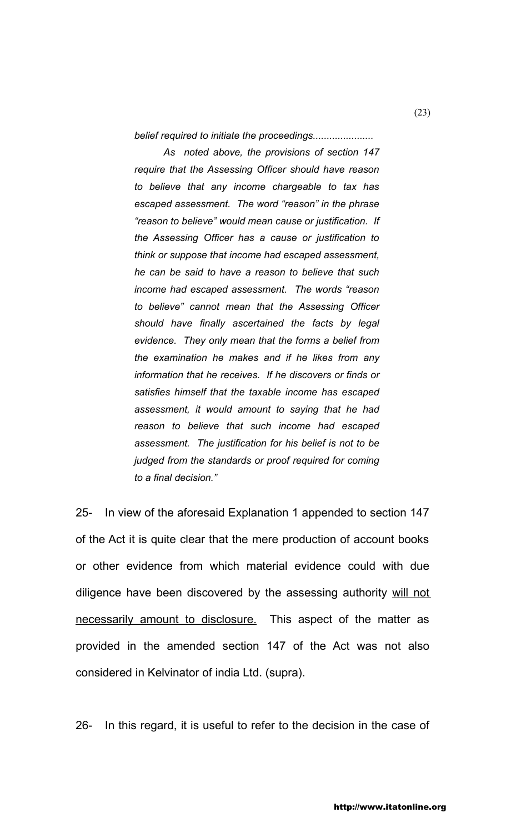*belief required to initiate the proceedings......................*

*As noted above, the provisions of section 147 require that the Assessing Officer should have reason to believe that any income chargeable to tax has escaped assessment. The word "reason" in the phrase "reason to believe" would mean cause or justification. If the Assessing Officer has a cause or justification to think or suppose that income had escaped assessment, he can be said to have a reason to believe that such income had escaped assessment. The words "reason to believe" cannot mean that the Assessing Officer should have finally ascertained the facts by legal evidence. They only mean that the forms a belief from the examination he makes and if he likes from any information that he receives. If he discovers or finds or satisfies himself that the taxable income has escaped assessment, it would amount to saying that he had reason to believe that such income had escaped assessment. The justification for his belief is not to be judged from the standards or proof required for coming to a final decision."*

25- In view of the aforesaid Explanation 1 appended to section 147 of the Act it is quite clear that the mere production of account books or other evidence from which material evidence could with due diligence have been discovered by the assessing authority will not necessarily amount to disclosure. This aspect of the matter as provided in the amended section 147 of the Act was not also considered in Kelvinator of india Ltd. (supra).

26- In this regard, it is useful to refer to the decision in the case of

(23)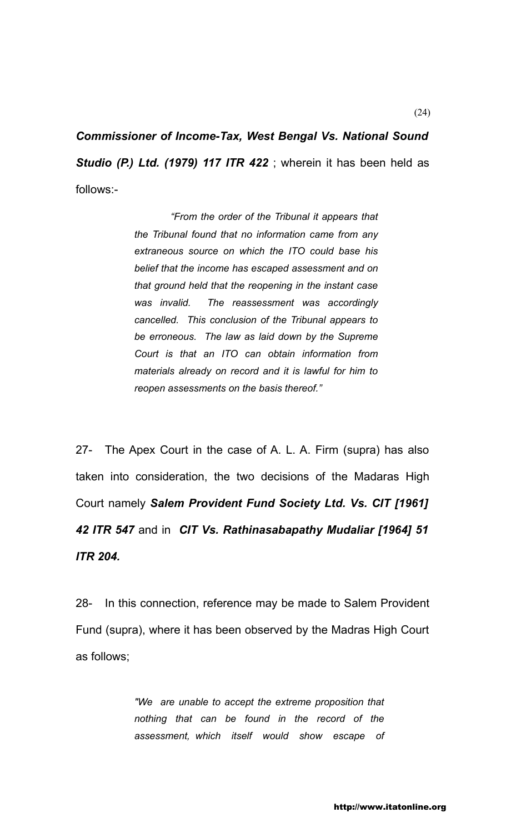*Commissioner of Income-Tax, West Bengal Vs. National Sound Studio (P.) Ltd. (1979) 117 ITR 422* ; wherein it has been held as follows:-

> *"From the order of the Tribunal it appears that the Tribunal found that no information came from any extraneous source on which the ITO could base his belief that the income has escaped assessment and on that ground held that the reopening in the instant case was invalid. The reassessment was accordingly cancelled. This conclusion of the Tribunal appears to be erroneous. The law as laid down by the Supreme Court is that an ITO can obtain information from materials already on record and it is lawful for him to reopen assessments on the basis thereof."*

27- The Apex Court in the case of A. L. A. Firm (supra) has also taken into consideration, the two decisions of the Madaras High Court namely *Salem Provident Fund Society Ltd. Vs. CIT [1961] 42 ITR 547* and in *CIT Vs. Rathinasabapathy Mudaliar [1964] 51 ITR 204.*

28- In this connection, reference may be made to Salem Provident Fund (supra), where it has been observed by the Madras High Court as follows;

> *"We are unable to accept the extreme proposition that nothing that can be found in the record of the assessment, which itself would show escape of*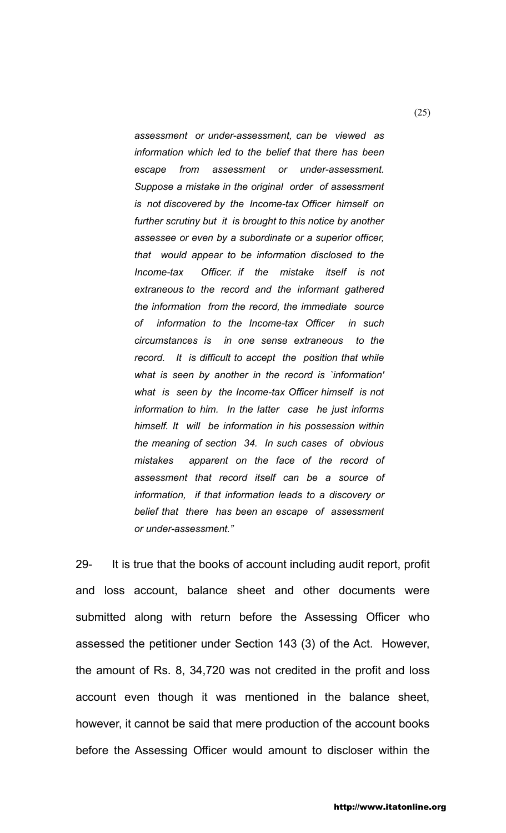*assessment or under-assessment, can be viewed as information which led to the belief that there has been escape from assessment or under-assessment. Suppose a mistake in the original order of assessment is not discovered by the Income-tax Officer himself on further scrutiny but it is brought to this notice by another assessee or even by a subordinate or a superior officer, that would appear to be information disclosed to the Income-tax Officer. if the mistake itself is not extraneous to the record and the informant gathered the information from the record, the immediate source of information to the Income-tax Officer in such circumstances is in one sense extraneous to the record. It is difficult to accept the position that while what is seen by another in the record is `information' what is seen by the Income-tax Officer himself is not information to him. In the latter case he just informs himself. It will be information in his possession within the meaning of section 34. In such cases of obvious mistakes apparent on the face of the record of assessment that record itself can be a source of information, if that information leads to a discovery or belief that there has been an escape of assessment or under-assessment."*

29- It is true that the books of account including audit report, profit and loss account, balance sheet and other documents were submitted along with return before the Assessing Officer who assessed the petitioner under Section 143 (3) of the Act. However, the amount of Rs. 8, 34,720 was not credited in the profit and loss account even though it was mentioned in the balance sheet, however, it cannot be said that mere production of the account books before the Assessing Officer would amount to discloser within the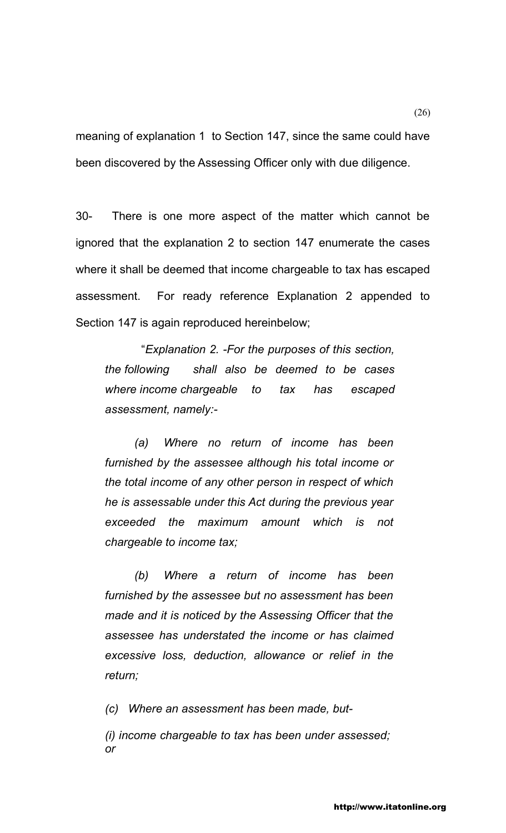meaning of explanation 1 to Section 147, since the same could have been discovered by the Assessing Officer only with due diligence.

30- There is one more aspect of the matter which cannot be ignored that the explanation 2 to section 147 enumerate the cases where it shall be deemed that income chargeable to tax has escaped assessment. For ready reference Explanation 2 appended to Section 147 is again reproduced hereinbelow;

"*Explanation 2. -For the purposes of this section, the following shall also be deemed to be cases where income chargeable to tax has escaped assessment, namely:-*

*(a) Where no return of income has been furnished by the assessee although his total income or the total income of any other person in respect of which he is assessable under this Act during the previous year exceeded the maximum amount which is not chargeable to income tax;*

*(b) Where a return of income has been furnished by the assessee but no assessment has been made and it is noticed by the Assessing Officer that the assessee has understated the income or has claimed excessive loss, deduction, allowance or relief in the return;*

*(c) Where an assessment has been made, but-*

*(i) income chargeable to tax has been under assessed; or*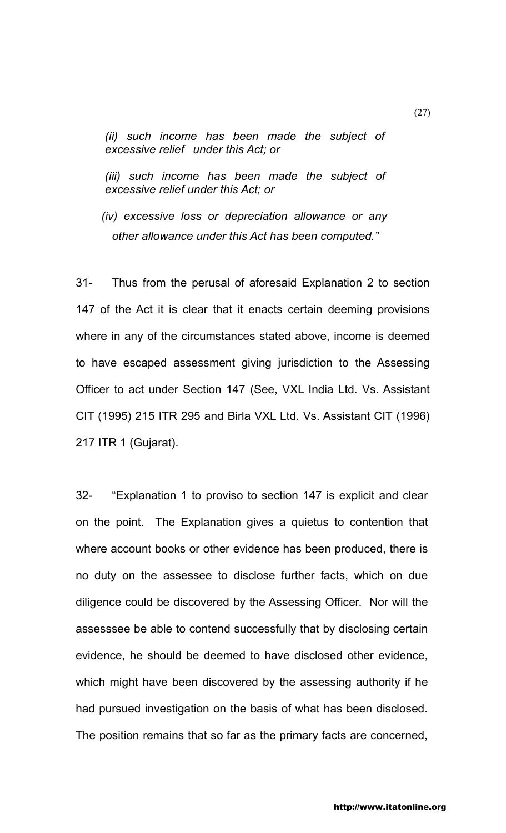*(ii) such income has been made the subject of excessive relief under this Act; or*

*(iii) such income has been made the subject of excessive relief under this Act; or*

 *(iv) excessive loss or depreciation allowance or any other allowance under this Act has been computed."*

31- Thus from the perusal of aforesaid Explanation 2 to section 147 of the Act it is clear that it enacts certain deeming provisions where in any of the circumstances stated above, income is deemed to have escaped assessment giving jurisdiction to the Assessing Officer to act under Section 147 (See, VXL India Ltd. Vs. Assistant CIT (1995) 215 ITR 295 and Birla VXL Ltd. Vs. Assistant CIT (1996) 217 ITR 1 (Gujarat).

32- "Explanation 1 to proviso to section 147 is explicit and clear on the point. The Explanation gives a quietus to contention that where account books or other evidence has been produced, there is no duty on the assessee to disclose further facts, which on due diligence could be discovered by the Assessing Officer. Nor will the assesssee be able to contend successfully that by disclosing certain evidence, he should be deemed to have disclosed other evidence, which might have been discovered by the assessing authority if he had pursued investigation on the basis of what has been disclosed. The position remains that so far as the primary facts are concerned,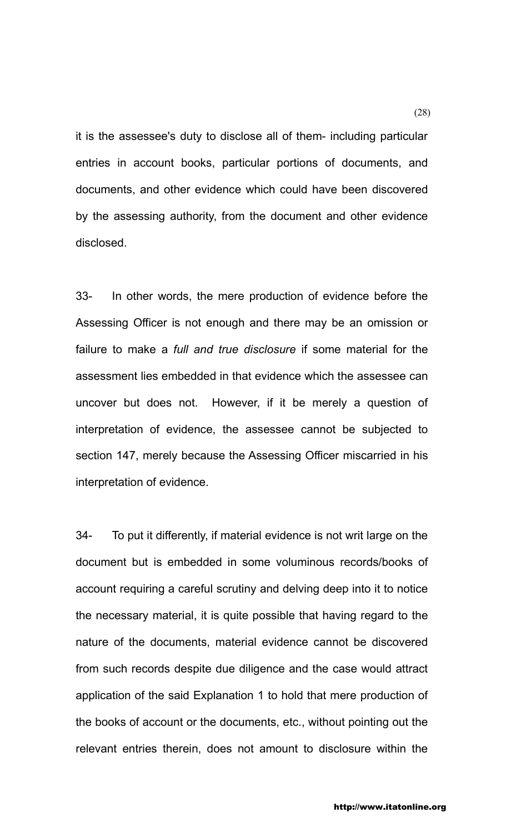it is the assessee's duty to disclose all of them- including particular entries in account books, particular portions of documents, and documents, and other evidence which could have been discovered by the assessing authority, from the document and other evidence disclosed.

33- In other words, the mere production of evidence before the Assessing Officer is not enough and there may be an omission or failure to make a *full and true disclosure* if some material for the assessment lies embedded in that evidence which the assessee can uncover but does not. However, if it be merely a question of interpretation of evidence, the assessee cannot be subjected to section 147, merely because the Assessing Officer miscarried in his interpretation of evidence.

34- To put it differently, if material evidence is not writ large on the document but is embedded in some voluminous records/books of account requiring a careful scrutiny and delving deep into it to notice the necessary material, it is quite possible that having regard to the nature of the documents, material evidence cannot be discovered from such records despite due diligence and the case would attract application of the said Explanation 1 to hold that mere production of the books of account or the documents, etc., without pointing out the relevant entries therein, does not amount to disclosure within the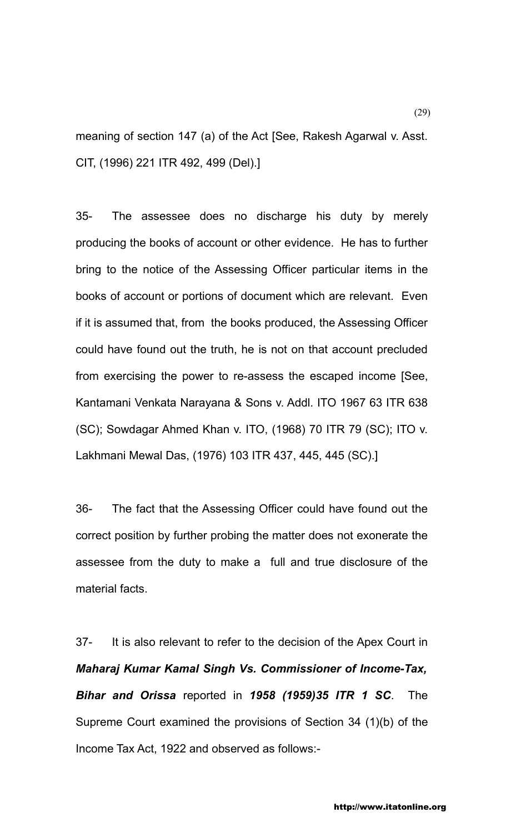meaning of section 147 (a) of the Act [See, Rakesh Agarwal v. Asst. CIT, (1996) 221 ITR 492, 499 (Del).]

35- The assessee does no discharge his duty by merely producing the books of account or other evidence. He has to further bring to the notice of the Assessing Officer particular items in the books of account or portions of document which are relevant. Even if it is assumed that, from the books produced, the Assessing Officer could have found out the truth, he is not on that account precluded from exercising the power to re-assess the escaped income [See, Kantamani Venkata Narayana & Sons v. Addl. ITO 1967 63 ITR 638 (SC); Sowdagar Ahmed Khan v. ITO, (1968) 70 ITR 79 (SC); ITO v. Lakhmani Mewal Das, (1976) 103 ITR 437, 445, 445 (SC).]

36- The fact that the Assessing Officer could have found out the correct position by further probing the matter does not exonerate the assessee from the duty to make a full and true disclosure of the material facts.

37- It is also relevant to refer to the decision of the Apex Court in *Maharaj Kumar Kamal Singh Vs. Commissioner of Income-Tax, Bihar and Orissa* reported in *1958 (1959)35 ITR 1 SC*. The Supreme Court examined the provisions of Section 34 (1)(b) of the Income Tax Act, 1922 and observed as follows:-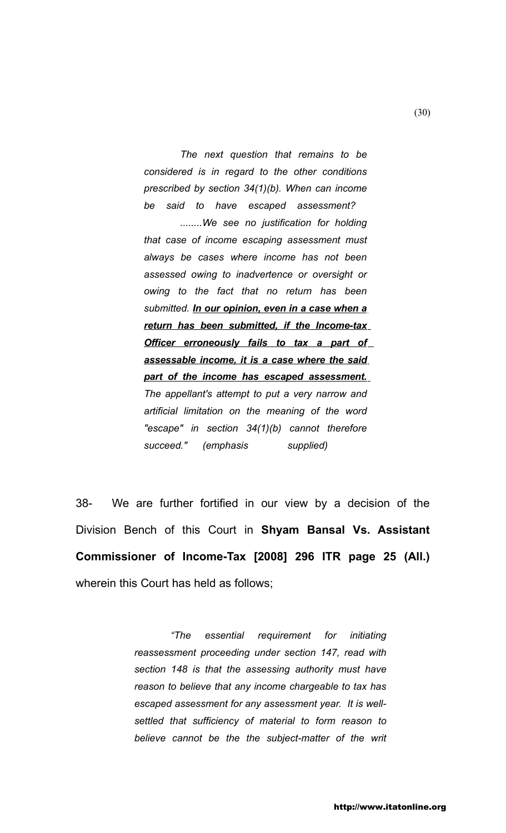*The next question that remains to be considered is in regard to the other conditions prescribed by section 34(1)(b). When can income be said to have escaped assessment? ........We see no justification for holding* 

*that case of income escaping assessment must always be cases where income has not been assessed owing to inadvertence or oversight or owing to the fact that no return has been submitted. In our opinion, even in a case when a return has been submitted, if the Income-tax Officer erroneously fails to tax a part of assessable income, it is a case where the said part of the income has escaped assessment. The appellant's attempt to put a very narrow and artificial limitation on the meaning of the word "escape" in section 34(1)(b) cannot therefore succeed." (emphasis supplied)* 

38- We are further fortified in our view by a decision of the Division Bench of this Court in **Shyam Bansal Vs. Assistant Commissioner of Income-Tax [2008] 296 ITR page 25 (All.)**  wherein this Court has held as follows;

> *"The essential requirement for initiating reassessment proceeding under section 147, read with section 148 is that the assessing authority must have reason to believe that any income chargeable to tax has escaped assessment for any assessment year. It is wellsettled that sufficiency of material to form reason to believe cannot be the the subject-matter of the writ*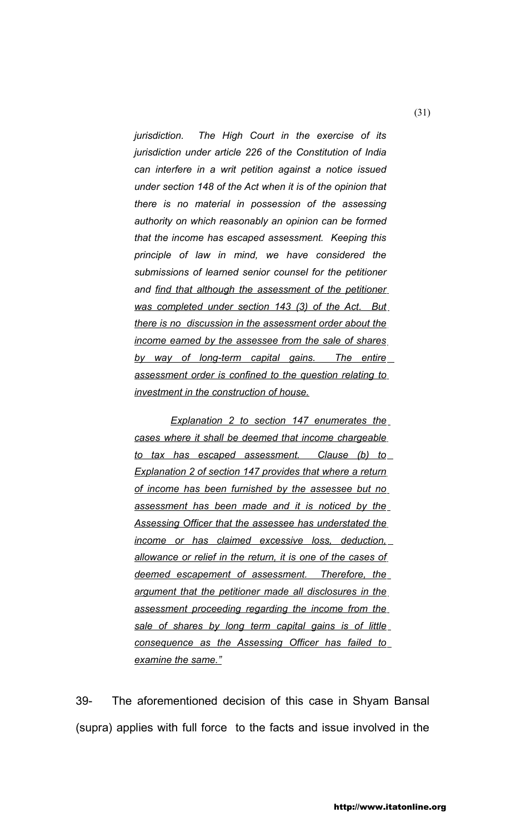*jurisdiction. The High Court in the exercise of its jurisdiction under article 226 of the Constitution of India can interfere in a writ petition against a notice issued under section 148 of the Act when it is of the opinion that there is no material in possession of the assessing authority on which reasonably an opinion can be formed that the income has escaped assessment. Keeping this principle of law in mind, we have considered the submissions of learned senior counsel for the petitioner and find that although the assessment of the petitioner was completed under section 143 (3) of the Act. But there is no discussion in the assessment order about the income earned by the assessee from the sale of shares by way of long-term capital gains. The entire assessment order is confined to the question relating to investment in the construction of house.*

*Explanation 2 to section 147 enumerates the cases where it shall be deemed that income chargeable to tax has escaped assessment. Clause (b) to Explanation 2 of section 147 provides that where a return of income has been furnished by the assessee but no assessment has been made and it is noticed by the Assessing Officer that the assessee has understated the income or has claimed excessive loss, deduction, allowance or relief in the return, it is one of the cases of deemed escapement of assessment. Therefore, the argument that the petitioner made all disclosures in the assessment proceeding regarding the income from the sale of shares by long term capital gains is of little consequence as the Assessing Officer has failed to examine the same."*

39- The aforementioned decision of this case in Shyam Bansal (supra) applies with full force to the facts and issue involved in the

(31)